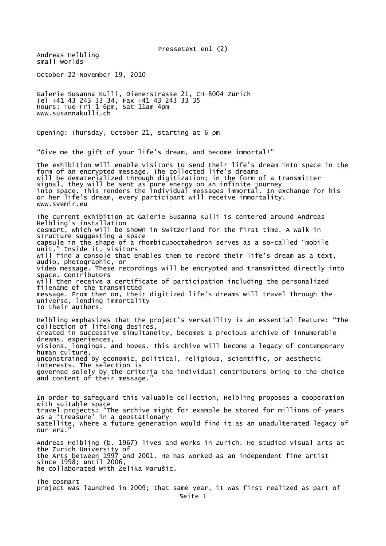Pressetext en1 (2) Andreas Helbling small worlds October 22–November 19, 2010 Galerie Susanna Kulli, Dienerstrasse 21, CH-8004 Zürich Tel +41 43 243 33 34, Fax +41 43 243 33 35 Hours: Tue–Fri 1–6pm, Sat 11am–4pm www.susannakulli.ch Opening: Thursday, October 21, starting at 6 pm "Give me the gift of your life's dream, and become immortal!" The exhibition will enable visitors to send their life's dream into space in the form of an encrypted message. The collected life's dreams will be dematerialized through digitization; in the form of a transmitter signal, they will be sent as pure energy on an infinite journey into space. This renders the individual messages immortal. In exchange for his or her life's dream, every participant will receive immortality. www.svemir.eu The current exhibition at Galerie Susanna Kulli is centered around Andreas Helbling's installation cosmart, which will be shown in Switzerland for the first time. A walk-in structure suggesting a space capsule in the shape of a rhombicuboctahedron serves as a so-called "mobile unit." Inside it, visitors will find a console that enables them to record their life's dream as a text, audio, photographic, or video message. These recordings will be encrypted and transmitted directly into space. Contributors will then receive a certificate of participation including the personalized filename of the transmitted message. From then on, their digitized life's dreams will travel through the universe, lending immortality to their authors. Helbling emphasizes that the project's versatility is an essential feature: "The collection of lifelong desires, created in successive simultaneity, becomes a precious archive of innumerable dreams, experiences, visions, longings, and hopes. This archive will become a legacy of contemporary human culture. unconstrained by economic, political, religious, scientific, or aesthetic interests. The selection is governed solely by the criteria the individual contributors bring to the choice and content of their message." In order to safeguard this valuable collection, Helbling proposes a cooperation with suitable space travel projects: "The archive might for example be stored for millions of years as a 'treasure' in a geostationary satellite, where a future generation would find it as an unadulterated legacy of our era. Andreas Helbling (b. 1967) lives and works in Zurich. He studied visual arts at the Zurich University of the Arts between 1997 and 2001. He has worked as an independent fine artist since 1998; until 2006, he collaborated with Želika Marušic. The cosmart project was launched in 2009; that same year, it was first realized as part of Seite 1